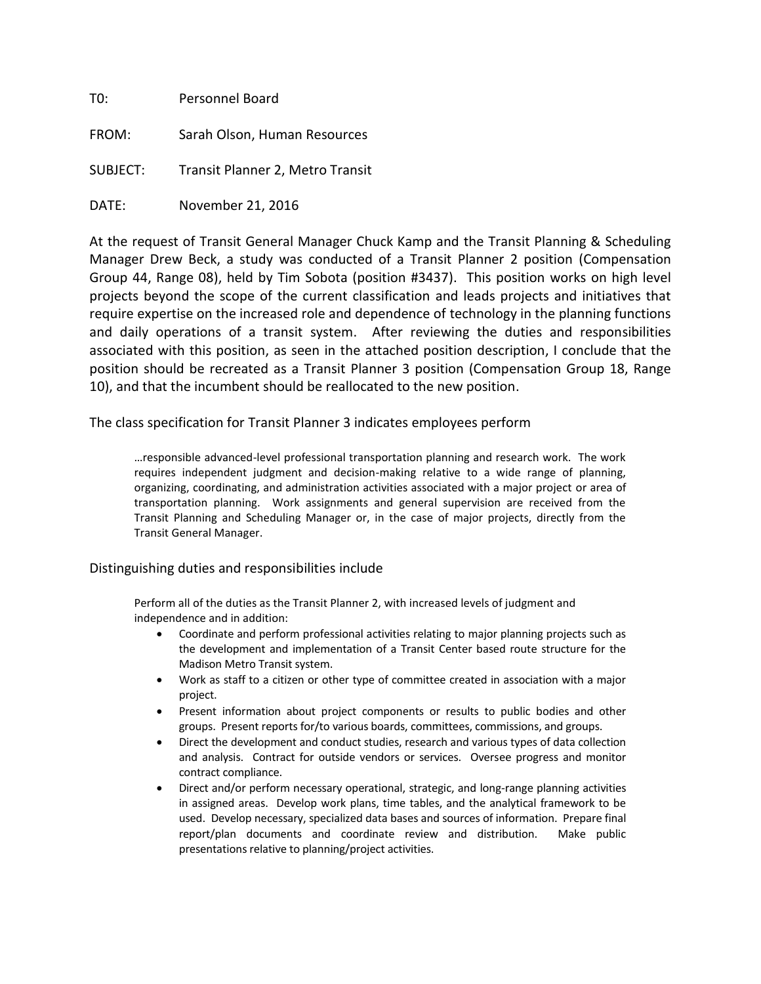| T0:      | Personnel Board                  |  |  |
|----------|----------------------------------|--|--|
| FROM:    | Sarah Olson, Human Resources     |  |  |
| SUBJECT: | Transit Planner 2, Metro Transit |  |  |
| DATE:    | November 21, 2016                |  |  |

At the request of Transit General Manager Chuck Kamp and the Transit Planning & Scheduling Manager Drew Beck, a study was conducted of a Transit Planner 2 position (Compensation Group 44, Range 08), held by Tim Sobota (position #3437). This position works on high level projects beyond the scope of the current classification and leads projects and initiatives that require expertise on the increased role and dependence of technology in the planning functions and daily operations of a transit system. After reviewing the duties and responsibilities associated with this position, as seen in the attached position description, I conclude that the position should be recreated as a Transit Planner 3 position (Compensation Group 18, Range 10), and that the incumbent should be reallocated to the new position.

The class specification for Transit Planner 3 indicates employees perform

…responsible advanced-level professional transportation planning and research work. The work requires independent judgment and decision-making relative to a wide range of planning, organizing, coordinating, and administration activities associated with a major project or area of transportation planning. Work assignments and general supervision are received from the Transit Planning and Scheduling Manager or, in the case of major projects, directly from the Transit General Manager.

Distinguishing duties and responsibilities include

Perform all of the duties as the Transit Planner 2, with increased levels of judgment and independence and in addition:

- Coordinate and perform professional activities relating to major planning projects such as the development and implementation of a Transit Center based route structure for the Madison Metro Transit system.
- Work as staff to a citizen or other type of committee created in association with a major project.
- Present information about project components or results to public bodies and other groups. Present reports for/to various boards, committees, commissions, and groups.
- Direct the development and conduct studies, research and various types of data collection and analysis. Contract for outside vendors or services. Oversee progress and monitor contract compliance.
- Direct and/or perform necessary operational, strategic, and long-range planning activities in assigned areas. Develop work plans, time tables, and the analytical framework to be used. Develop necessary, specialized data bases and sources of information. Prepare final report/plan documents and coordinate review and distribution. Make public presentations relative to planning/project activities.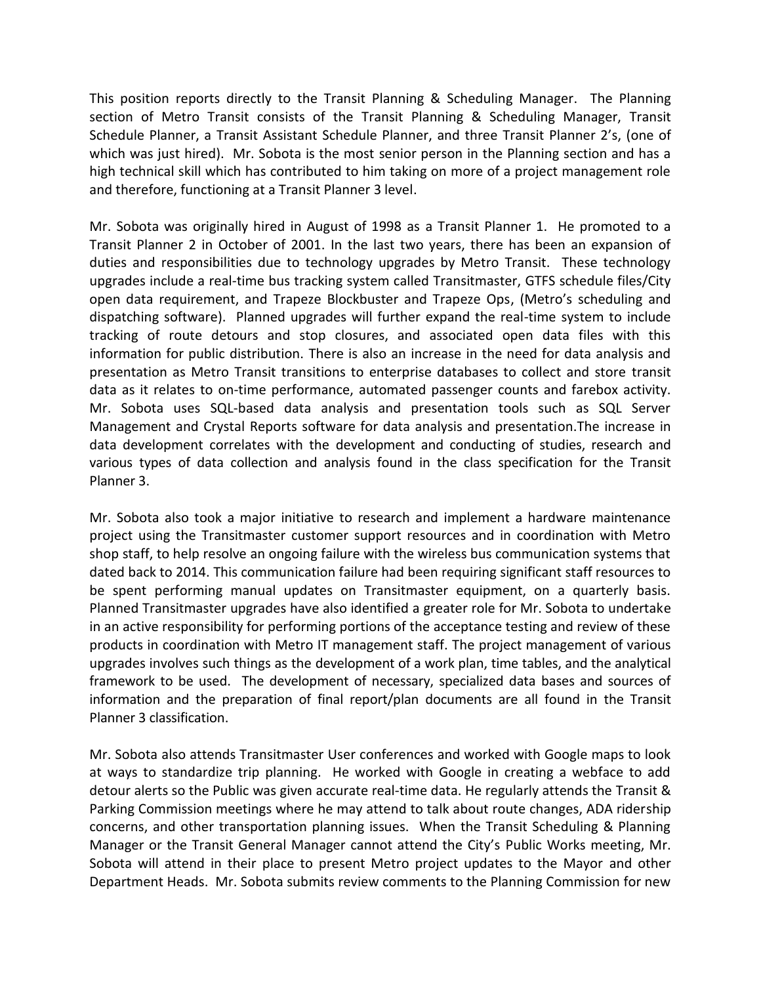This position reports directly to the Transit Planning & Scheduling Manager. The Planning section of Metro Transit consists of the Transit Planning & Scheduling Manager, Transit Schedule Planner, a Transit Assistant Schedule Planner, and three Transit Planner 2's, (one of which was just hired). Mr. Sobota is the most senior person in the Planning section and has a high technical skill which has contributed to him taking on more of a project management role and therefore, functioning at a Transit Planner 3 level.

Mr. Sobota was originally hired in August of 1998 as a Transit Planner 1. He promoted to a Transit Planner 2 in October of 2001. In the last two years, there has been an expansion of duties and responsibilities due to technology upgrades by Metro Transit. These technology upgrades include a real-time bus tracking system called Transitmaster, GTFS schedule files/City open data requirement, and Trapeze Blockbuster and Trapeze Ops, (Metro's scheduling and dispatching software). Planned upgrades will further expand the real-time system to include tracking of route detours and stop closures, and associated open data files with this information for public distribution. There is also an increase in the need for data analysis and presentation as Metro Transit transitions to enterprise databases to collect and store transit data as it relates to on-time performance, automated passenger counts and farebox activity. Mr. Sobota uses SQL-based data analysis and presentation tools such as SQL Server Management and Crystal Reports software for data analysis and presentation.The increase in data development correlates with the development and conducting of studies, research and various types of data collection and analysis found in the class specification for the Transit Planner 3.

Mr. Sobota also took a major initiative to research and implement a hardware maintenance project using the Transitmaster customer support resources and in coordination with Metro shop staff, to help resolve an ongoing failure with the wireless bus communication systems that dated back to 2014. This communication failure had been requiring significant staff resources to be spent performing manual updates on Transitmaster equipment, on a quarterly basis. Planned Transitmaster upgrades have also identified a greater role for Mr. Sobota to undertake in an active responsibility for performing portions of the acceptance testing and review of these products in coordination with Metro IT management staff. The project management of various upgrades involves such things as the development of a work plan, time tables, and the analytical framework to be used. The development of necessary, specialized data bases and sources of information and the preparation of final report/plan documents are all found in the Transit Planner 3 classification.

Mr. Sobota also attends Transitmaster User conferences and worked with Google maps to look at ways to standardize trip planning. He worked with Google in creating a webface to add detour alerts so the Public was given accurate real-time data. He regularly attends the Transit & Parking Commission meetings where he may attend to talk about route changes, ADA ridership concerns, and other transportation planning issues. When the Transit Scheduling & Planning Manager or the Transit General Manager cannot attend the City's Public Works meeting, Mr. Sobota will attend in their place to present Metro project updates to the Mayor and other Department Heads. Mr. Sobota submits review comments to the Planning Commission for new